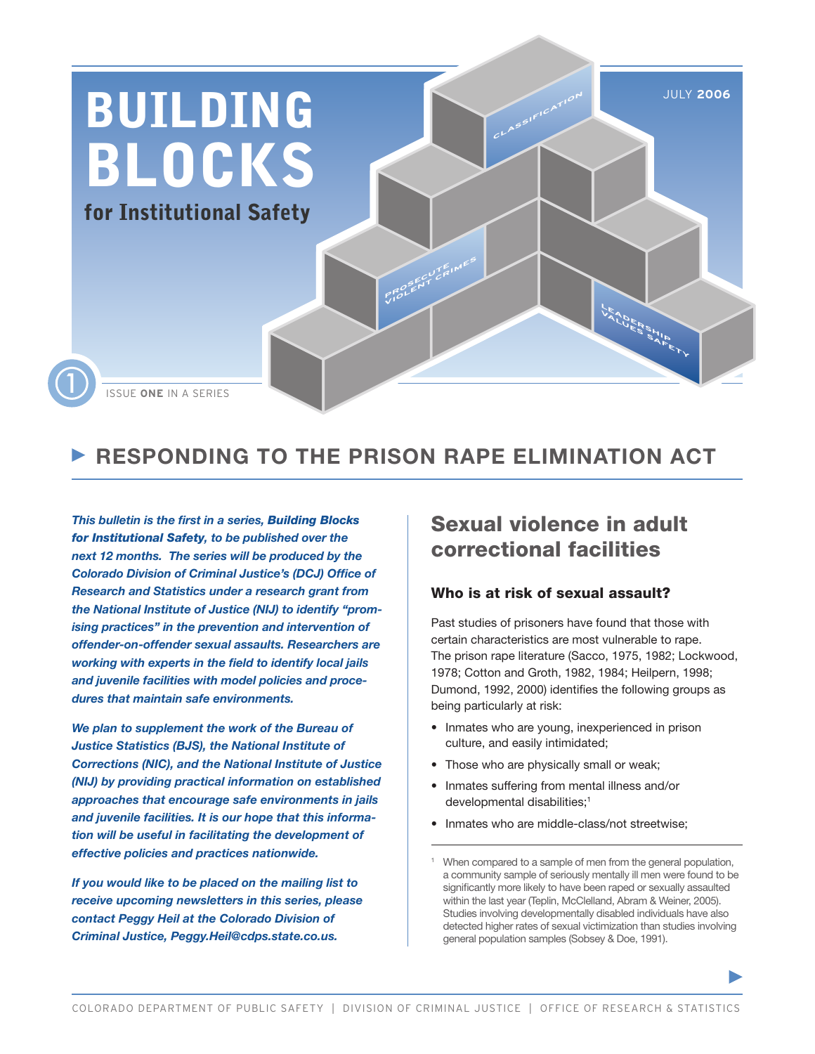

## **RESPONDING TO THE PRISON RAPE ELIMINATION ACT**

*This bulletin is the first in a series, Building Blocks for Institutional Safety, to be published over the next 12 months. The series will be produced by the Colorado Division of Criminal Justice's (DCJ) Office of Research and Statistics under a research grant from the National Institute of Justice (NIJ) to identify "promising practices" in the prevention and intervention of offender-on-offender sexual assaults. Researchers are working with experts in the field to identify local jails and juvenile facilities with model policies and procedures that maintain safe environments.* 

*We plan to supplement the work of the Bureau of Justice Statistics (BJS), the National Institute of Corrections (NIC), and the National Institute of Justice (NIJ) by providing practical information on established approaches that encourage safe environments in jails and juvenile facilities. It is our hope that this information will be useful in facilitating the development of effective policies and practices nationwide.* 

*If you would like to be placed on the mailing list to receive upcoming newsletters in this series, please contact Peggy Heil at the Colorado Division of Criminal Justice, Peggy.Heil@cdps.state.co.us.* 

## Sexual violence in adult correctional facilities

#### Who is at risk of sexual assault?

Past studies of prisoners have found that those with certain characteristics are most vulnerable to rape. The prison rape literature (Sacco, 1975, 1982; Lockwood, 1978; Cotton and Groth, 1982, 1984; Heilpern, 1998; Dumond, 1992, 2000) identifies the following groups as being particularly at risk:

- Inmates who are young, inexperienced in prison culture, and easily intimidated;
- Those who are physically small or weak;
- Inmates suffering from mental illness and/or developmental disabilities:<sup>1</sup>
- Inmates who are middle-class/not streetwise:

When compared to a sample of men from the general population, a community sample of seriously mentally ill men were found to be significantly more likely to have been raped or sexually assaulted within the last year (Teplin, McClelland, Abram & Weiner, 2005). Studies involving developmentally disabled individuals have also detected higher rates of sexual victimization than studies involving general population samples (Sobsey & Doe, 1991).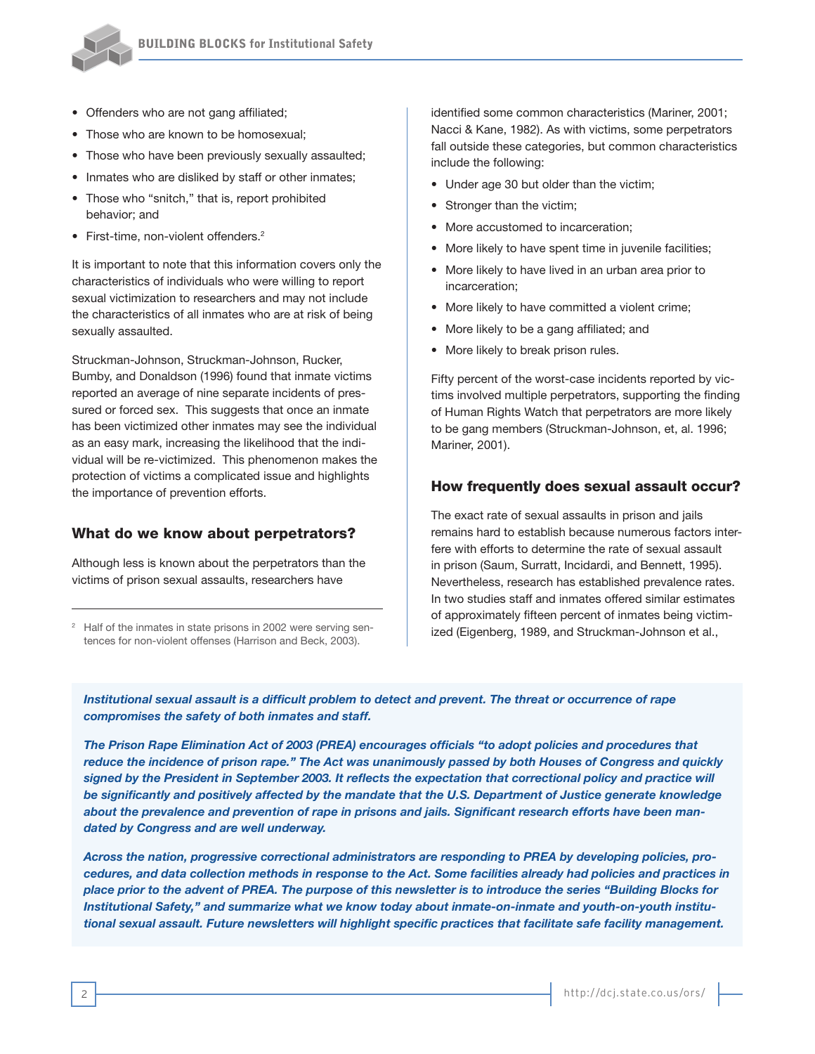

- Offenders who are not gang affiliated;
- Those who are known to be homosexual;
- Those who have been previously sexually assaulted;
- Inmates who are disliked by staff or other inmates;
- Those who "snitch," that is, report prohibited behavior; and
- First-time, non-violent offenders.<sup>2</sup>

It is important to note that this information covers only the characteristics of individuals who were willing to report sexual victimization to researchers and may not include the characteristics of all inmates who are at risk of being sexually assaulted.

Struckman-Johnson, Struckman-Johnson, Rucker, Bumby, and Donaldson (1996) found that inmate victims reported an average of nine separate incidents of pressured or forced sex. This suggests that once an inmate has been victimized other inmates may see the individual as an easy mark, increasing the likelihood that the individual will be re-victimized. This phenomenon makes the protection of victims a complicated issue and highlights the importance of prevention efforts.

#### What do we know about perpetrators?

Although less is known about the perpetrators than the victims of prison sexual assaults, researchers have

<sup>2</sup> Half of the inmates in state prisons in 2002 were serving sentences for non-violent offenses (Harrison and Beck, 2003).

identified some common characteristics (Mariner, 2001; Nacci & Kane, 1982). As with victims, some perpetrators fall outside these categories, but common characteristics include the following:

- Under age 30 but older than the victim;
- Stronger than the victim;
- More accustomed to incarceration;
- More likely to have spent time in juvenile facilities;
- More likely to have lived in an urban area prior to incarceration;
- More likely to have committed a violent crime;
- More likely to be a gang affiliated; and
- More likely to break prison rules.

Fifty percent of the worst-case incidents reported by victims involved multiple perpetrators, supporting the finding of Human Rights Watch that perpetrators are more likely to be gang members (Struckman-Johnson, et, al. 1996; Mariner, 2001).

#### How frequently does sexual assault occur?

The exact rate of sexual assaults in prison and jails remains hard to establish because numerous factors interfere with efforts to determine the rate of sexual assault in prison (Saum, Surratt, Incidardi, and Bennett, 1995). Nevertheless, research has established prevalence rates. In two studies staff and inmates offered similar estimates of approximately fifteen percent of inmates being victimized (Eigenberg, 1989, and Struckman-Johnson et al.,

*Institutional sexual assault is a difficult problem to detect and prevent. The threat or occurrence of rape compromises the safety of both inmates and staff.* 

*The Prison Rape Elimination Act of 2003 (PREA) encourages officials "to adopt policies and procedures that reduce the incidence of prison rape." The Act was unanimously passed by both Houses of Congress and quickly signed by the President in September 2003. It reflects the expectation that correctional policy and practice will be significantly and positively affected by the mandate that the U.S. Department of Justice generate knowledge about the prevalence and prevention of rape in prisons and jails. Significant research efforts have been mandated by Congress and are well underway.*

*Across the nation, progressive correctional administrators are responding to PREA by developing policies, procedures, and data collection methods in response to the Act. Some facilities already had policies and practices in place prior to the advent of PREA. The purpose of this newsletter is to introduce the series "Building Blocks for Institutional Safety," and summarize what we know today about inmate-on-inmate and youth-on-youth institutional sexual assault. Future newsletters will highlight specific practices that facilitate safe facility management.*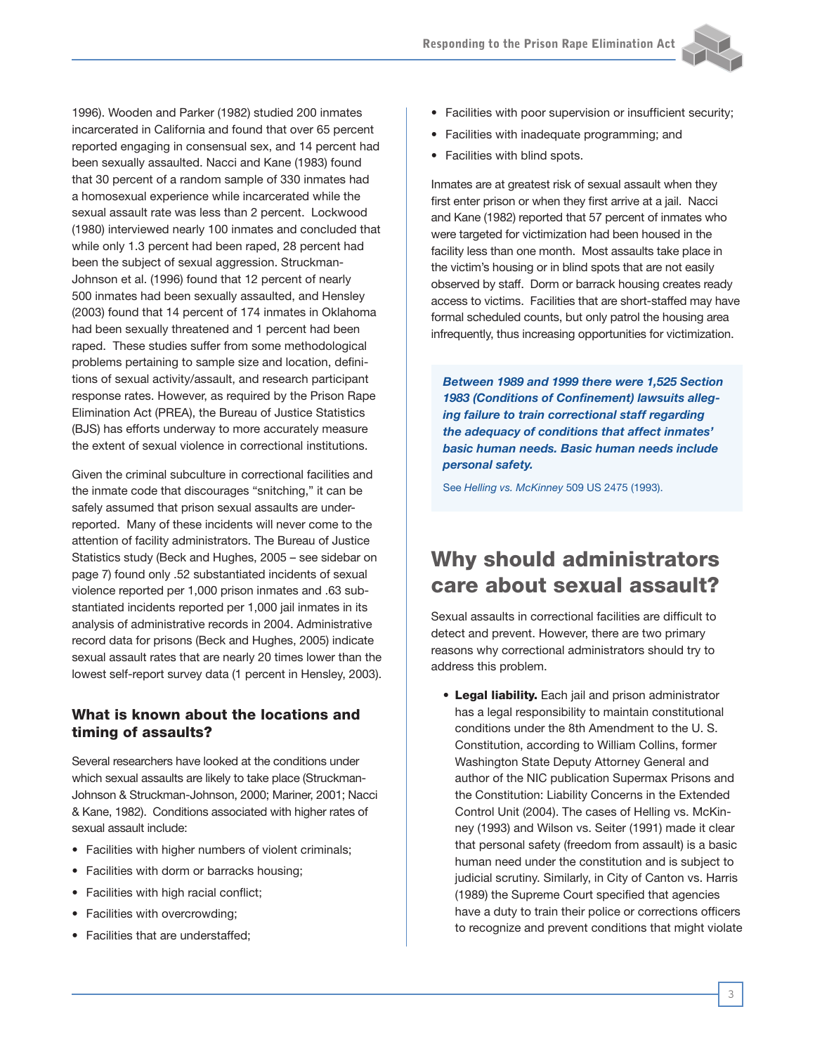1996). Wooden and Parker (1982) studied 200 inmates incarcerated in California and found that over 65 percent reported engaging in consensual sex, and 14 percent had been sexually assaulted. Nacci and Kane (1983) found that 30 percent of a random sample of 330 inmates had a homosexual experience while incarcerated while the sexual assault rate was less than 2 percent. Lockwood (1980) interviewed nearly 100 inmates and concluded that while only 1.3 percent had been raped, 28 percent had been the subject of sexual aggression. Struckman-Johnson et al. (1996) found that 12 percent of nearly 500 inmates had been sexually assaulted, and Hensley (2003) found that 14 percent of 174 inmates in Oklahoma had been sexually threatened and 1 percent had been raped. These studies suffer from some methodological problems pertaining to sample size and location, definitions of sexual activity/assault, and research participant response rates. However, as required by the Prison Rape Elimination Act (PREA), the Bureau of Justice Statistics (BJS) has efforts underway to more accurately measure the extent of sexual violence in correctional institutions.

Given the criminal subculture in correctional facilities and the inmate code that discourages "snitching," it can be safely assumed that prison sexual assaults are underreported. Many of these incidents will never come to the attention of facility administrators. The Bureau of Justice Statistics study (Beck and Hughes, 2005 – see sidebar on page 7) found only .52 substantiated incidents of sexual violence reported per 1,000 prison inmates and .63 substantiated incidents reported per 1,000 jail inmates in its analysis of administrative records in 2004. Administrative record data for prisons (Beck and Hughes, 2005) indicate sexual assault rates that are nearly 20 times lower than the lowest self-report survey data (1 percent in Hensley, 2003).

#### What is known about the locations and timing of assaults?

Several researchers have looked at the conditions under which sexual assaults are likely to take place (Struckman-Johnson & Struckman-Johnson, 2000; Mariner, 2001; Nacci & Kane, 1982). Conditions associated with higher rates of sexual assault include:

- Facilities with higher numbers of violent criminals;
- Facilities with dorm or barracks housing;
- Facilities with high racial conflict;
- Facilities with overcrowding;
- Facilities that are understaffed;
- Facilities with poor supervision or insufficient security;
- Facilities with inadequate programming; and
- Facilities with blind spots.

Inmates are at greatest risk of sexual assault when they first enter prison or when they first arrive at a jail. Nacci and Kane (1982) reported that 57 percent of inmates who were targeted for victimization had been housed in the facility less than one month. Most assaults take place in the victim's housing or in blind spots that are not easily observed by staff. Dorm or barrack housing creates ready access to victims. Facilities that are short-staffed may have formal scheduled counts, but only patrol the housing area infrequently, thus increasing opportunities for victimization.

*Between 1989 and 1999 there were 1,525 Section 1983 (Conditions of Confinement) lawsuits alleging failure to train correctional staff regarding the adequacy of conditions that affect inmates' basic human needs. Basic human needs include personal safety.* 

See *Helling vs. McKinney* 509 US 2475 (1993).

## Why should administrators care about sexual assault?

Sexual assaults in correctional facilities are difficult to detect and prevent. However, there are two primary reasons why correctional administrators should try to address this problem.

• Legal liability. Each jail and prison administrator has a legal responsibility to maintain constitutional conditions under the 8th Amendment to the U. S. Constitution, according to William Collins, former Washington State Deputy Attorney General and author of the NIC publication Supermax Prisons and the Constitution: Liability Concerns in the Extended Control Unit (2004). The cases of Helling vs. McKinney (1993) and Wilson vs. Seiter (1991) made it clear that personal safety (freedom from assault) is a basic human need under the constitution and is subject to judicial scrutiny. Similarly, in City of Canton vs. Harris (1989) the Supreme Court specified that agencies have a duty to train their police or corrections officers to recognize and prevent conditions that might violate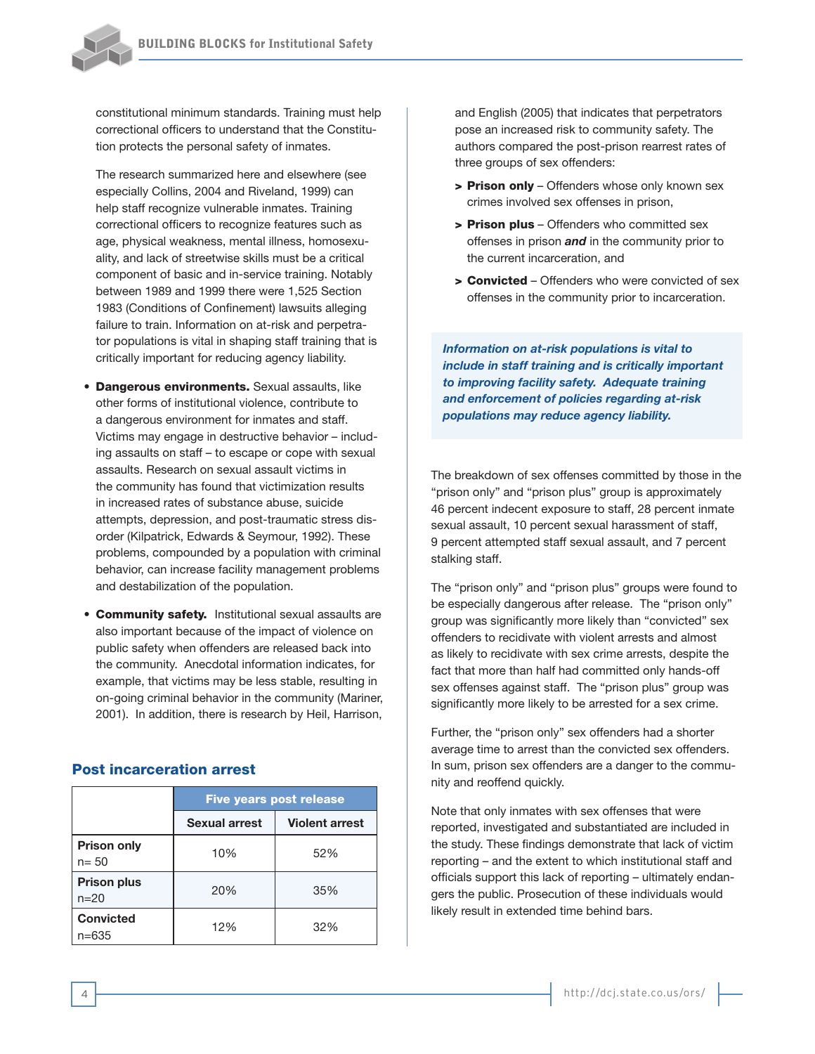

constitutional minimum standards. Training must help correctional officers to understand that the Constitution protects the personal safety of inmates.

The research summarized here and elsewhere (see especially Collins, 2004 and Riveland, 1999) can help staff recognize vulnerable inmates. Training correctional officers to recognize features such as age, physical weakness, mental illness, homosexuality, and lack of streetwise skills must be a critical component of basic and in-service training. Notably between 1989 and 1999 there were 1,525 Section 1983 (Conditions of Confinement) lawsuits alleging failure to train. Information on at-risk and perpetrator populations is vital in shaping staff training that is critically important for reducing agency liability.

- **Dangerous environments.** Sexual assaults, like other forms of institutional violence, contribute to a dangerous environment for inmates and staff. Victims may engage in destructive behavior – including assaults on staff – to escape or cope with sexual assaults. Research on sexual assault victims in the community has found that victimization results in increased rates of substance abuse, suicide attempts, depression, and post-traumatic stress disorder (Kilpatrick, Edwards & Seymour, 1992). These problems, compounded by a population with criminal behavior, can increase facility management problems and destabilization of the population.
- **Community safety.** Institutional sexual assaults are also important because of the impact of violence on public safety when offenders are released back into the community. Anecdotal information indicates, for example, that victims may be less stable, resulting in on-going criminal behavior in the community (Mariner, 2001). In addition, there is research by Heil, Harrison,

#### Post incarceration arrest

|                                | <b>Five years post release</b> |                       |  |  |
|--------------------------------|--------------------------------|-----------------------|--|--|
|                                | Sexual arrest                  | <b>Violent arrest</b> |  |  |
| <b>Prison only</b><br>$n = 50$ | 10%                            | 52%                   |  |  |
| <b>Prison plus</b><br>$n = 20$ | 20%                            | 35%                   |  |  |
| <b>Convicted</b><br>$n = 635$  | 12%                            | 32%                   |  |  |

and English (2005) that indicates that perpetrators pose an increased risk to community safety. The authors compared the post-prison rearrest rates of three groups of sex offenders:

- > Prison only Offenders whose only known sex crimes involved sex offenses in prison,
- > Prison plus Offenders who committed sex offenses in prison *and* in the community prior to the current incarceration, and
- > Convicted Offenders who were convicted of sex offenses in the community prior to incarceration.

*Information on at-risk populations is vital to include in staff training and is critically important to improving facility safety. Adequate training and enforcement of policies regarding at-risk populations may reduce agency liability.*

The breakdown of sex offenses committed by those in the "prison only" and "prison plus" group is approximately 46 percent indecent exposure to staff, 28 percent inmate sexual assault, 10 percent sexual harassment of staff, 9 percent attempted staff sexual assault, and 7 percent stalking staff.

The "prison only" and "prison plus" groups were found to be especially dangerous after release. The "prison only" group was significantly more likely than "convicted" sex offenders to recidivate with violent arrests and almost as likely to recidivate with sex crime arrests, despite the fact that more than half had committed only hands-off sex offenses against staff. The "prison plus" group was significantly more likely to be arrested for a sex crime.

Further, the "prison only" sex offenders had a shorter average time to arrest than the convicted sex offenders. In sum, prison sex offenders are a danger to the community and reoffend quickly.

Note that only inmates with sex offenses that were reported, investigated and substantiated are included in the study. These findings demonstrate that lack of victim reporting – and the extent to which institutional staff and officials support this lack of reporting – ultimately endangers the public. Prosecution of these individuals would likely result in extended time behind bars.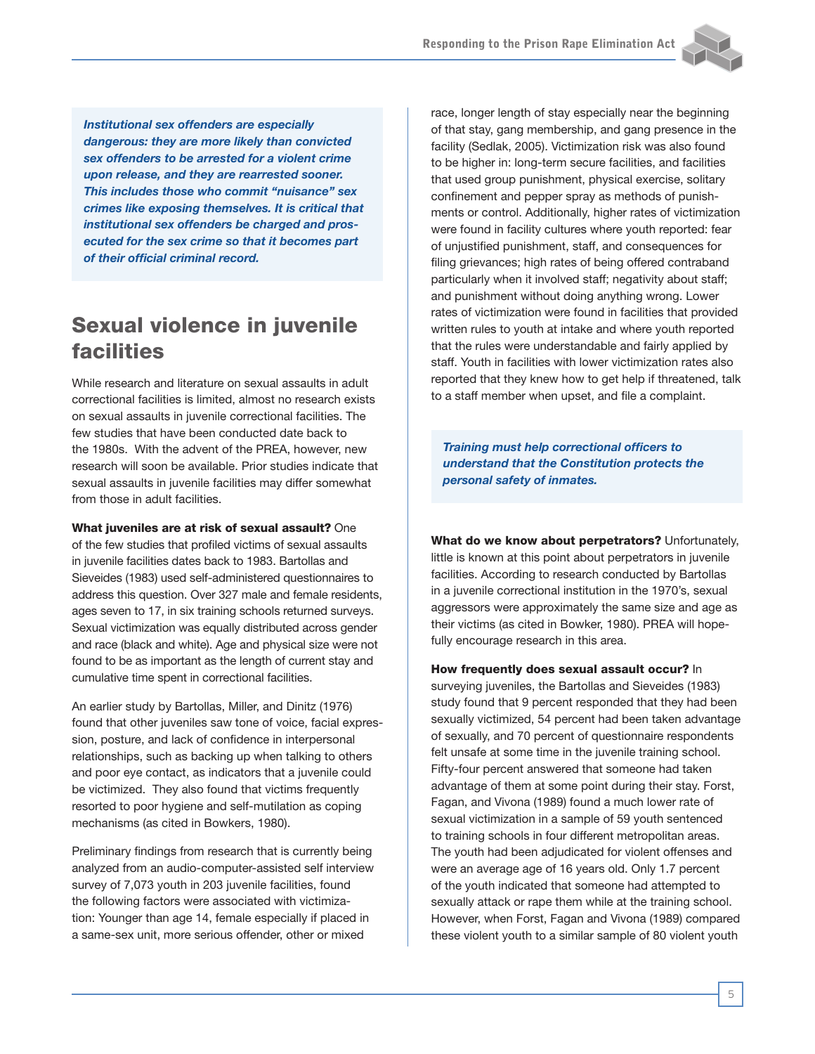

*Institutional sex offenders are especially dangerous: they are more likely than convicted sex offenders to be arrested for a violent crime upon release, and they are rearrested sooner. This includes those who commit "nuisance" sex crimes like exposing themselves. It is critical that institutional sex offenders be charged and prosecuted for the sex crime so that it becomes part of their official criminal record.*

## Sexual violence in juvenile facilities

While research and literature on sexual assaults in adult correctional facilities is limited, almost no research exists on sexual assaults in juvenile correctional facilities. The few studies that have been conducted date back to the 1980s. With the advent of the PREA, however, new research will soon be available. Prior studies indicate that sexual assaults in juvenile facilities may differ somewhat from those in adult facilities.

What juveniles are at risk of sexual assault? One of the few studies that profiled victims of sexual assaults in juvenile facilities dates back to 1983. Bartollas and Sieveides (1983) used self-administered questionnaires to address this question. Over 327 male and female residents, ages seven to 17, in six training schools returned surveys. Sexual victimization was equally distributed across gender and race (black and white). Age and physical size were not found to be as important as the length of current stay and cumulative time spent in correctional facilities.

An earlier study by Bartollas, Miller, and Dinitz (1976) found that other juveniles saw tone of voice, facial expression, posture, and lack of confidence in interpersonal relationships, such as backing up when talking to others and poor eye contact, as indicators that a juvenile could be victimized. They also found that victims frequently resorted to poor hygiene and self-mutilation as coping mechanisms (as cited in Bowkers, 1980).

Preliminary findings from research that is currently being analyzed from an audio-computer-assisted self interview survey of 7,073 youth in 203 juvenile facilities, found the following factors were associated with victimization: Younger than age 14, female especially if placed in a same-sex unit, more serious offender, other or mixed

race, longer length of stay especially near the beginning of that stay, gang membership, and gang presence in the facility (Sedlak, 2005). Victimization risk was also found to be higher in: long-term secure facilities, and facilities that used group punishment, physical exercise, solitary confinement and pepper spray as methods of punishments or control. Additionally, higher rates of victimization were found in facility cultures where youth reported: fear of unjustified punishment, staff, and consequences for filing grievances; high rates of being offered contraband particularly when it involved staff; negativity about staff; and punishment without doing anything wrong. Lower rates of victimization were found in facilities that provided written rules to youth at intake and where youth reported that the rules were understandable and fairly applied by staff. Youth in facilities with lower victimization rates also reported that they knew how to get help if threatened, talk to a staff member when upset, and file a complaint.

*Training must help correctional officers to understand that the Constitution protects the personal safety of inmates.* 

What do we know about perpetrators? Unfortunately, little is known at this point about perpetrators in juvenile facilities. According to research conducted by Bartollas in a juvenile correctional institution in the 1970's, sexual aggressors were approximately the same size and age as their victims (as cited in Bowker, 1980). PREA will hopefully encourage research in this area.

#### How frequently does sexual assault occur? In surveying juveniles, the Bartollas and Sieveides (1983) study found that 9 percent responded that they had been sexually victimized, 54 percent had been taken advantage of sexually, and 70 percent of questionnaire respondents felt unsafe at some time in the juvenile training school. Fifty-four percent answered that someone had taken advantage of them at some point during their stay. Forst, Fagan, and Vivona (1989) found a much lower rate of sexual victimization in a sample of 59 youth sentenced to training schools in four different metropolitan areas. The youth had been adjudicated for violent offenses and were an average age of 16 years old. Only 1.7 percent of the youth indicated that someone had attempted to sexually attack or rape them while at the training school. However, when Forst, Fagan and Vivona (1989) compared these violent youth to a similar sample of 80 violent youth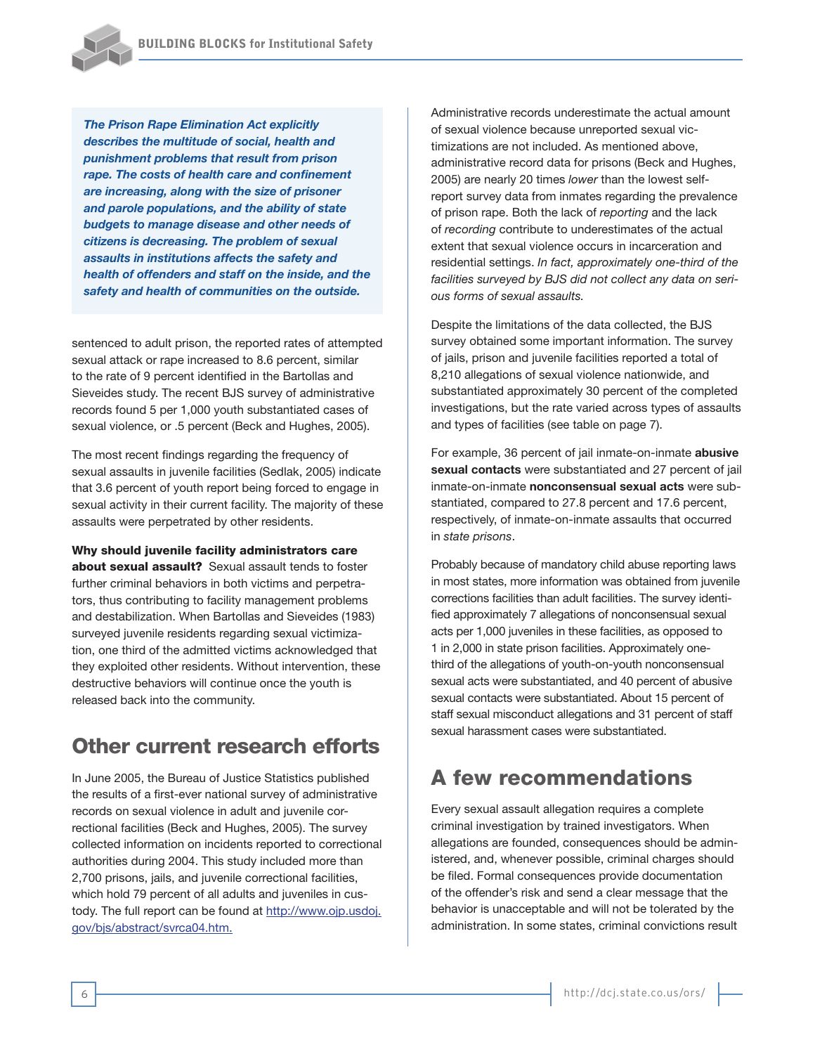

*The Prison Rape Elimination Act explicitly describes the multitude of social, health and punishment problems that result from prison rape. The costs of health care and confinement are increasing, along with the size of prisoner and parole populations, and the ability of state budgets to manage disease and other needs of citizens is decreasing. The problem of sexual assaults in institutions affects the safety and health of offenders and staff on the inside, and the safety and health of communities on the outside.*

sentenced to adult prison, the reported rates of attempted sexual attack or rape increased to 8.6 percent, similar to the rate of 9 percent identified in the Bartollas and Sieveides study. The recent BJS survey of administrative records found 5 per 1,000 youth substantiated cases of sexual violence, or .5 percent (Beck and Hughes, 2005).

The most recent findings regarding the frequency of sexual assaults in juvenile facilities (Sedlak, 2005) indicate that 3.6 percent of youth report being forced to engage in sexual activity in their current facility. The majority of these assaults were perpetrated by other residents.

#### Why should juvenile facility administrators care

about sexual assault? Sexual assault tends to foster further criminal behaviors in both victims and perpetrators, thus contributing to facility management problems and destabilization. When Bartollas and Sieveides (1983) surveyed juvenile residents regarding sexual victimization, one third of the admitted victims acknowledged that they exploited other residents. Without intervention, these destructive behaviors will continue once the youth is released back into the community.

## Other current research efforts

In June 2005, the Bureau of Justice Statistics published the results of a first-ever national survey of administrative records on sexual violence in adult and juvenile correctional facilities (Beck and Hughes, 2005). The survey collected information on incidents reported to correctional authorities during 2004. This study included more than 2,700 prisons, jails, and juvenile correctional facilities, which hold 79 percent of all adults and juveniles in custody. The full report can be found at http://www.ojp.usdoj. gov/bjs/abstract/svrca04.htm.

Administrative records underestimate the actual amount of sexual violence because unreported sexual victimizations are not included. As mentioned above, administrative record data for prisons (Beck and Hughes, 2005) are nearly 20 times *lower* than the lowest selfreport survey data from inmates regarding the prevalence of prison rape. Both the lack of *reporting* and the lack of *recording* contribute to underestimates of the actual extent that sexual violence occurs in incarceration and residential settings. *In fact, approximately one-third of the facilities surveyed by BJS did not collect any data on serious forms of sexual assaults.*

Despite the limitations of the data collected, the BJS survey obtained some important information. The survey of jails, prison and juvenile facilities reported a total of 8,210 allegations of sexual violence nationwide, and substantiated approximately 30 percent of the completed investigations, but the rate varied across types of assaults and types of facilities (see table on page 7).

For example, 36 percent of jail inmate-on-inmate **abusive sexual contacts** were substantiated and 27 percent of jail inmate-on-inmate **nonconsensual sexual acts** were substantiated, compared to 27.8 percent and 17.6 percent, respectively, of inmate-on-inmate assaults that occurred in *state prisons*.

Probably because of mandatory child abuse reporting laws in most states, more information was obtained from juvenile corrections facilities than adult facilities. The survey identified approximately 7 allegations of nonconsensual sexual acts per 1,000 juveniles in these facilities, as opposed to 1 in 2,000 in state prison facilities. Approximately onethird of the allegations of youth-on-youth nonconsensual sexual acts were substantiated, and 40 percent of abusive sexual contacts were substantiated. About 15 percent of staff sexual misconduct allegations and 31 percent of staff sexual harassment cases were substantiated.

## A few recommendations

Every sexual assault allegation requires a complete criminal investigation by trained investigators. When allegations are founded, consequences should be administered, and, whenever possible, criminal charges should be filed. Formal consequences provide documentation of the offender's risk and send a clear message that the behavior is unacceptable and will not be tolerated by the administration. In some states, criminal convictions result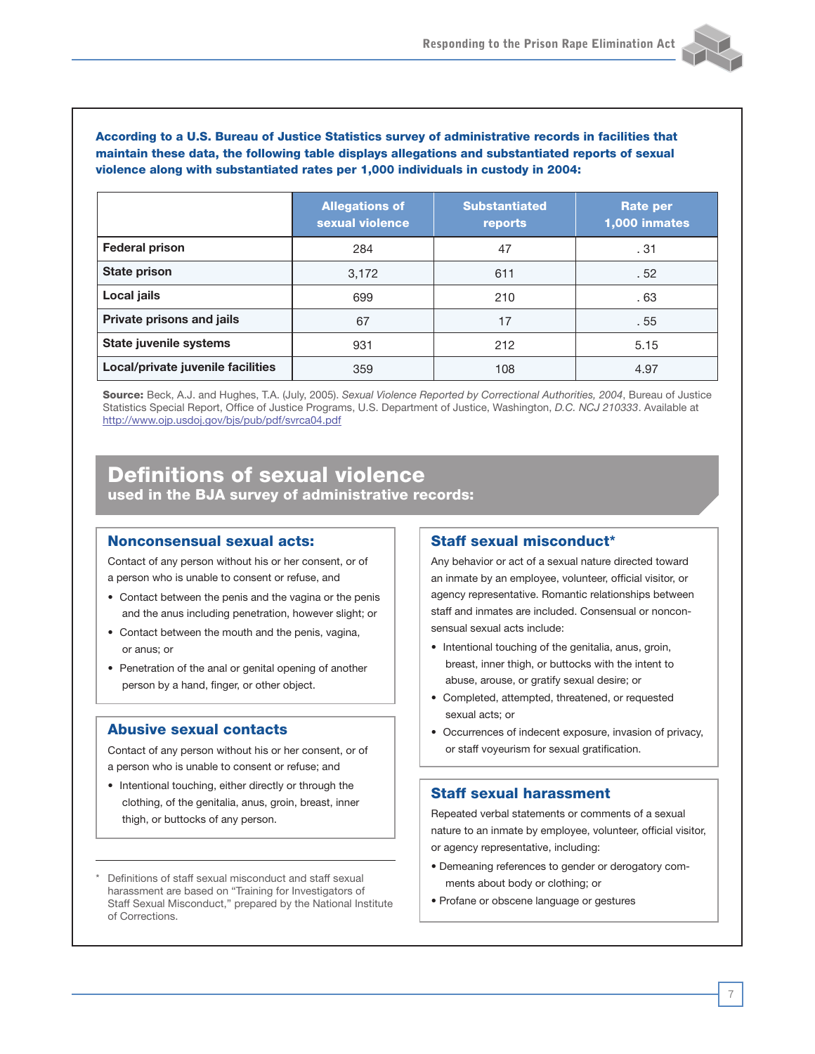

|                                   | <b>Allegations of</b><br>sexual violence | <b>Substantiated</b><br>reports | <b>Rate per</b><br>1,000 inmates |
|-----------------------------------|------------------------------------------|---------------------------------|----------------------------------|
| <b>Federal prison</b>             | 284                                      | 47                              | .31                              |
| <b>State prison</b>               | 3,172                                    | 611                             | .52                              |
| Local jails                       | 699                                      | 210                             | .63                              |
| Private prisons and jails         | 67                                       | 17                              | . 55                             |
| State juvenile systems            | 931                                      | 212                             | 5.15                             |
| Local/private juvenile facilities | 359                                      | 108                             | 4.97                             |

Source: Beck, A.J. and Hughes, T.A. (July, 2005). *Sexual Violence Reported by Correctional Authorities, 2004*, Bureau of Justice Statistics Special Report, Office of Justice Programs, U.S. Department of Justice, Washington, *D.C. NCJ 210333*. Available at http://www.ojp.usdoj.gov/bjs/pub/pdf/svrca04.pdf

### Definitions of sexual violence used in the BJA survey of administrative records:

#### Nonconsensual sexual acts:

Contact of any person without his or her consent, or of a person who is unable to consent or refuse, and

- Contact between the penis and the vagina or the penis and the anus including penetration, however slight; or
- Contact between the mouth and the penis, vagina, or anus; or
- Penetration of the anal or genital opening of another person by a hand, finger, or other object.

#### Abusive sexual contacts

Contact of any person without his or her consent, or of a person who is unable to consent or refuse; and

- Intentional touching, either directly or through the clothing, of the genitalia, anus, groin, breast, inner thigh, or buttocks of any person.
- Definitions of staff sexual misconduct and staff sexual harassment are based on "Training for Investigators of Staff Sexual Misconduct," prepared by the National Institute of Corrections.

#### Staff sexual misconduct**\***

Any behavior or act of a sexual nature directed toward an inmate by an employee, volunteer, official visitor, or agency representative. Romantic relationships between staff and inmates are included. Consensual or nonconsensual sexual acts include:

- Intentional touching of the genitalia, anus, groin, breast, inner thigh, or buttocks with the intent to abuse, arouse, or gratify sexual desire; or
- Completed, attempted, threatened, or requested sexual acts; or
- Occurrences of indecent exposure, invasion of privacy, or staff voyeurism for sexual gratification.

#### Staff sexual harassment

Repeated verbal statements or comments of a sexual nature to an inmate by employee, volunteer, official visitor, or agency representative, including:

- Demeaning references to gender or derogatory comments about body or clothing; or
- Profane or obscene language or gestures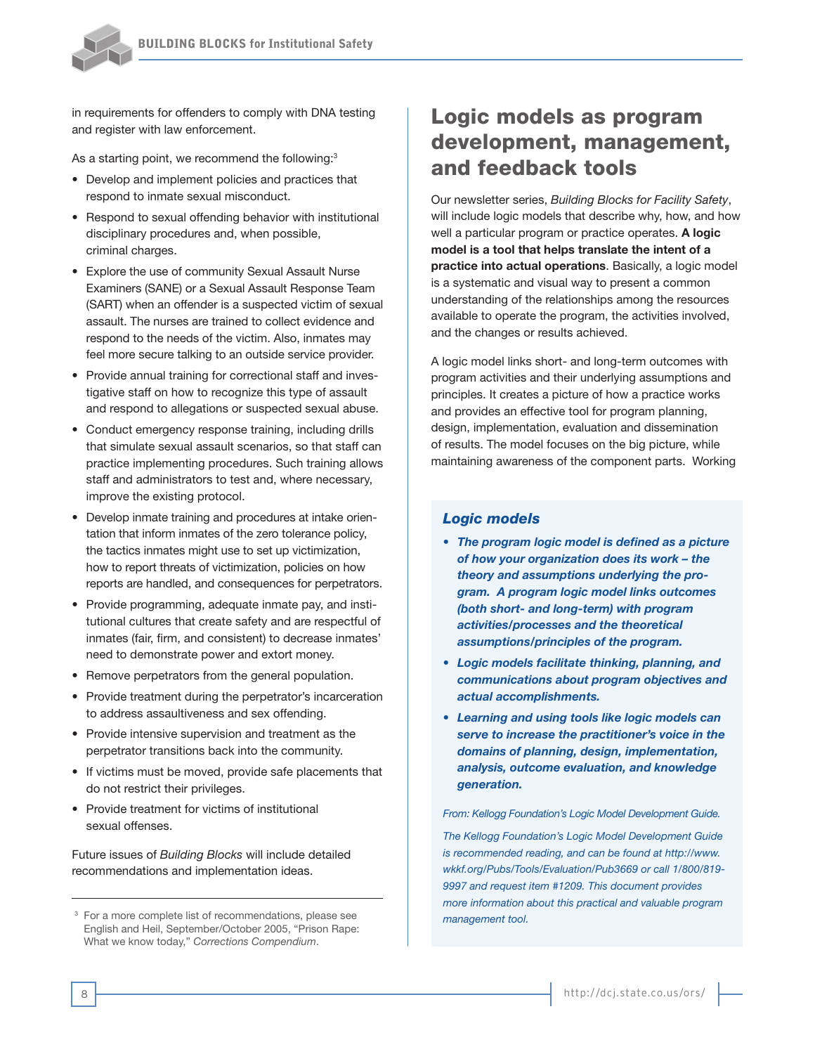

in requirements for offenders to comply with DNA testing and register with law enforcement.

As a starting point, we recommend the following:<sup>3</sup>

- Develop and implement policies and practices that respond to inmate sexual misconduct.
- Respond to sexual offending behavior with institutional disciplinary procedures and, when possible, criminal charges.
- Explore the use of community Sexual Assault Nurse Examiners (SANE) or a Sexual Assault Response Team (SART) when an offender is a suspected victim of sexual assault. The nurses are trained to collect evidence and respond to the needs of the victim. Also, inmates may feel more secure talking to an outside service provider.
- Provide annual training for correctional staff and investigative staff on how to recognize this type of assault and respond to allegations or suspected sexual abuse.
- Conduct emergency response training, including drills that simulate sexual assault scenarios, so that staff can practice implementing procedures. Such training allows staff and administrators to test and, where necessary, improve the existing protocol.
- Develop inmate training and procedures at intake orientation that inform inmates of the zero tolerance policy, the tactics inmates might use to set up victimization, how to report threats of victimization, policies on how reports are handled, and consequences for perpetrators.
- Provide programming, adequate inmate pay, and institutional cultures that create safety and are respectful of inmates (fair, firm, and consistent) to decrease inmates' need to demonstrate power and extort money.
- Remove perpetrators from the general population.
- Provide treatment during the perpetrator's incarceration to address assaultiveness and sex offending.
- Provide intensive supervision and treatment as the perpetrator transitions back into the community.
- If victims must be moved, provide safe placements that do not restrict their privileges.
- Provide treatment for victims of institutional sexual offenses.

Future issues of *Building Blocks* will include detailed recommendations and implementation ideas.

## Logic models as program development, management, and feedback tools

Our newsletter series, *Building Blocks for Facility Safety*, will include logic models that describe why, how, and how well a particular program or practice operates. **A logic model is a tool that helps translate the intent of a practice into actual operations**. Basically, a logic model is a systematic and visual way to present a common understanding of the relationships among the resources available to operate the program, the activities involved, and the changes or results achieved.

A logic model links short- and long-term outcomes with program activities and their underlying assumptions and principles. It creates a picture of how a practice works and provides an effective tool for program planning, design, implementation, evaluation and dissemination of results. The model focuses on the big picture, while maintaining awareness of the component parts. Working

#### *Logic models*

- *The program logic model is defined as a picture of how your organization does its work – the theory and assumptions underlying the program. A program logic model links outcomes (both short- and long-term) with program activities/processes and the theoretical assumptions/principles of the program.*
- *Logic models facilitate thinking, planning, and communications about program objectives and actual accomplishments.*
- *Learning and using tools like logic models can serve to increase the practitioner's voice in the domains of planning, design, implementation, analysis, outcome evaluation, and knowledge generation.*

#### *From: Kellogg Foundation's Logic Model Development Guide.*

*The Kellogg Foundation's Logic Model Development Guide is recommended reading, and can be found at http://www. wkkf.org/Pubs/Tools/Evaluation/Pub3669 or call 1/800/819- 9997 and request item #1209. This document provides more information about this practical and valuable program* 

<sup>&</sup>lt;sup>3</sup> For a more complete list of recommendations, please see **management tool.** English and Heil, September/October 2005, "Prison Rape: What we know today," *Corrections Compendium*.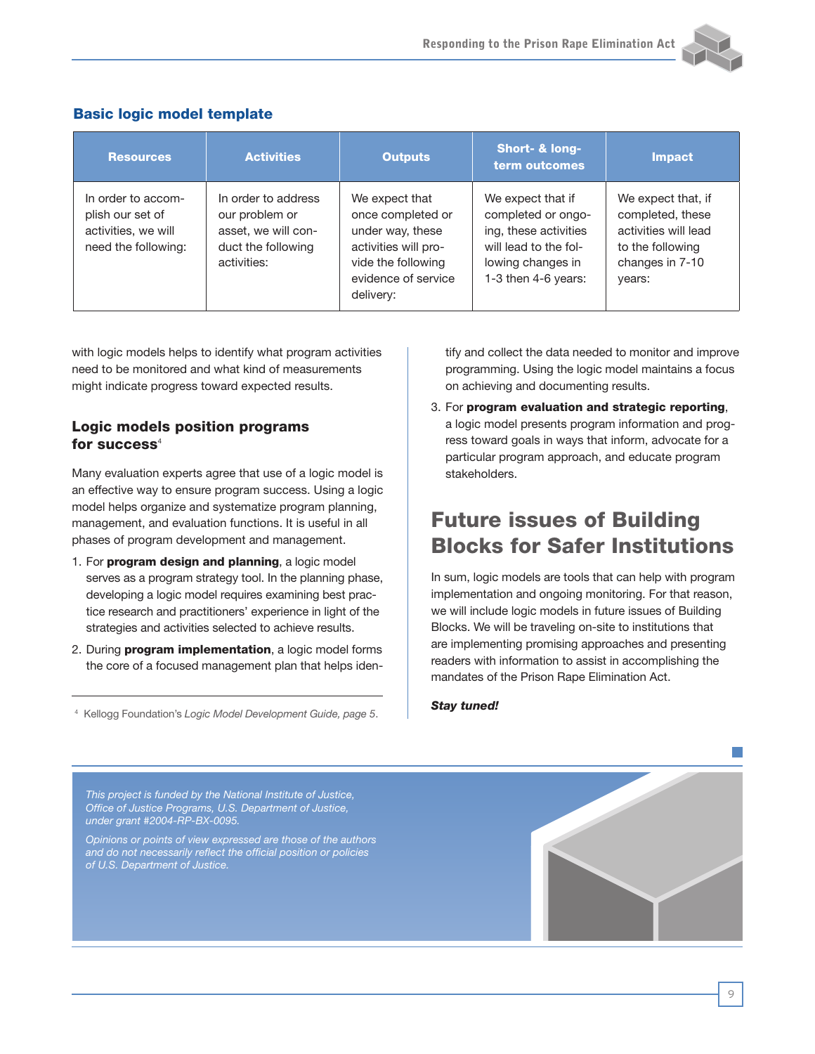

| <b>Resources</b>                                                                     | <b>Activities</b>                                                                                 | Outputs                                                                                                                                   | Short- & long-<br>term outcomes                                                                                                       | Impact                                                                                                          |
|--------------------------------------------------------------------------------------|---------------------------------------------------------------------------------------------------|-------------------------------------------------------------------------------------------------------------------------------------------|---------------------------------------------------------------------------------------------------------------------------------------|-----------------------------------------------------------------------------------------------------------------|
| In order to accom-<br>plish our set of<br>activities, we will<br>need the following: | In order to address<br>our problem or<br>asset, we will con-<br>duct the following<br>activities: | We expect that<br>once completed or<br>under way, these<br>activities will pro-<br>vide the following<br>evidence of service<br>delivery: | We expect that if<br>completed or ongo-<br>ing, these activities<br>will lead to the fol-<br>lowing changes in<br>1-3 then 4-6 years: | We expect that, if<br>completed, these<br>activities will lead<br>to the following<br>changes in 7-10<br>years: |

#### Basic logic model template

with logic models helps to identify what program activities need to be monitored and what kind of measurements might indicate progress toward expected results.

#### Logic models position programs for success $4$

Many evaluation experts agree that use of a logic model is an effective way to ensure program success. Using a logic model helps organize and systematize program planning, management, and evaluation functions. It is useful in all phases of program development and management.

- 1. For program design and planning, a logic model serves as a program strategy tool. In the planning phase, developing a logic model requires examining best practice research and practitioners' experience in light of the strategies and activities selected to achieve results.
- 2. During **program implementation**, a logic model forms the core of a focused management plan that helps iden-

*Stay tuned!* <sup>4</sup> Kellogg Foundation's *Logic Model Development Guide, page 5*.

tify and collect the data needed to monitor and improve programming. Using the logic model maintains a focus on achieving and documenting results.

3. For program evaluation and strategic reporting, a logic model presents program information and progress toward goals in ways that inform, advocate for a particular program approach, and educate program stakeholders.

## Future issues of Building Blocks for Safer Institutions

In sum, logic models are tools that can help with program implementation and ongoing monitoring. For that reason, we will include logic models in future issues of Building Blocks. We will be traveling on-site to institutions that are implementing promising approaches and presenting readers with information to assist in accomplishing the mandates of the Prison Rape Elimination Act.

*This project is funded by the National Institute of Justice, Office of Justice Programs, U.S. Department of Justice, under grant #2004-RP-BX-0095.*

*Opinions or points of view expressed are those of the authors and do not necessarily reflect the official position or policies of U.S. Department of Justice.*

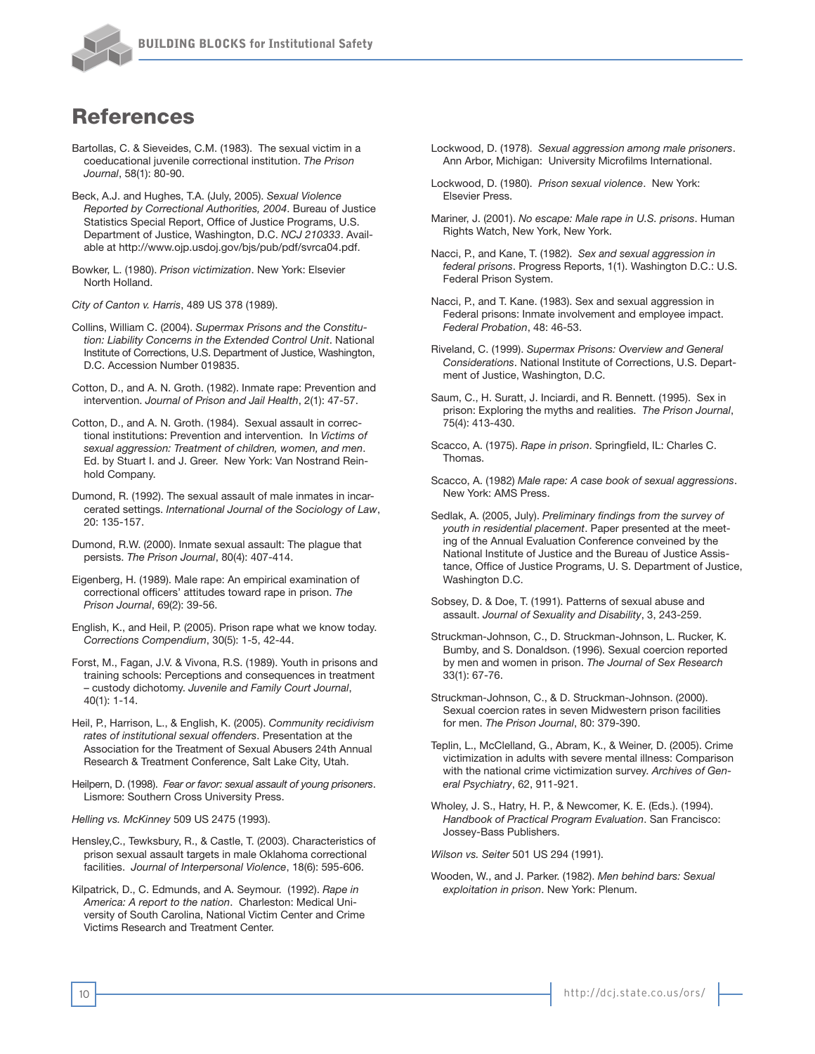

## References

- Bartollas, C. & Sieveides, C.M. (1983). The sexual victim in a coeducational juvenile correctional institution. *The Prison Journal*, 58(1): 80-90.
- Beck, A.J. and Hughes, T.A. (July, 2005). *Sexual Violence Reported by Correctional Authorities, 2004*. Bureau of Justice Statistics Special Report, Office of Justice Programs, U.S. Department of Justice, Washington, D.C. *NCJ 210333*. Available at http://www.ojp.usdoj.gov/bjs/pub/pdf/svrca04.pdf.
- Bowker, L. (1980). *Prison victimization*. New York: Elsevier North Holland.

*City of Canton v. Harris*, 489 US 378 (1989).

- Collins, William C. (2004). *Supermax Prisons and the Constitution: Liability Concerns in the Extended Control Unit*. National Institute of Corrections, U.S. Department of Justice, Washington, D.C. Accession Number 019835.
- Cotton, D., and A. N. Groth. (1982). Inmate rape: Prevention and intervention. *Journal of Prison and Jail Health*, 2(1): 47-57.
- Cotton, D., and A. N. Groth. (1984). Sexual assault in correctional institutions: Prevention and intervention. In *Victims of sexual aggression: Treatment of children, women, and men*. Ed. by Stuart I. and J. Greer. New York: Van Nostrand Reinhold Company.
- Dumond, R. (1992). The sexual assault of male inmates in incarcerated settings. *International Journal of the Sociology of Law*, 20: 135-157.
- Dumond, R.W. (2000). Inmate sexual assault: The plague that persists. *The Prison Journal*, 80(4): 407-414.
- Eigenberg, H. (1989). Male rape: An empirical examination of correctional officers' attitudes toward rape in prison. *The Prison Journal*, 69(2): 39-56.
- English, K., and Heil, P. (2005). Prison rape what we know today. *Corrections Compendium*, 30(5): 1-5, 42-44.
- Forst, M., Fagan, J.V. & Vivona, R.S. (1989). Youth in prisons and training schools: Perceptions and consequences in treatment – custody dichotomy. *Juvenile and Family Court Journal*, 40(1): 1-14.
- Heil, P., Harrison, L., & English, K. (2005). *Community recidivism rates of institutional sexual offenders*. Presentation at the Association for the Treatment of Sexual Abusers 24th Annual Research & Treatment Conference, Salt Lake City, Utah.
- Heilpern, D. (1998). *Fear or favor: sexual assault of young prisoners*. Lismore: Southern Cross University Press.
- *Helling vs. McKinney* 509 US 2475 (1993).
- Hensley,C., Tewksbury, R., & Castle, T. (2003). Characteristics of prison sexual assault targets in male Oklahoma correctional facilities. *Journal of Interpersonal Violence*, 18(6): 595-606.
- Kilpatrick, D., C. Edmunds, and A. Seymour. (1992). *Rape in America: A report to the nation*. Charleston: Medical University of South Carolina, National Victim Center and Crime Victims Research and Treatment Center.
- Lockwood, D. (1978). *Sexual aggression among male prisoners*. Ann Arbor, Michigan: University Microfilms International.
- Lockwood, D. (1980). *Prison sexual violence*. New York: Elsevier Press.
- Mariner, J. (2001). *No escape: Male rape in U.S. prisons*. Human Rights Watch, New York, New York.
- Nacci, P., and Kane, T. (1982). *Sex and sexual aggression in federal prisons*. Progress Reports, 1(1). Washington D.C.: U.S. Federal Prison System.
- Nacci, P., and T. Kane. (1983). Sex and sexual aggression in Federal prisons: Inmate involvement and employee impact. *Federal Probation*, 48: 46-53.
- Riveland, C. (1999). *Supermax Prisons: Overview and General Considerations*. National Institute of Corrections, U.S. Department of Justice, Washington, D.C.
- Saum, C., H. Suratt, J. Inciardi, and R. Bennett. (1995). Sex in prison: Exploring the myths and realities. *The Prison Journal*, 75(4): 413-430.
- Scacco, A. (1975). *Rape in prison*. Springfield, IL: Charles C. Thomas.
- Scacco, A. (1982) *Male rape: A case book of sexual aggressions*. New York: AMS Press.
- Sedlak, A. (2005, July). *Preliminary findings from the survey of youth in residential placement*. Paper presented at the meeting of the Annual Evaluation Conference conveined by the National Institute of Justice and the Bureau of Justice Assistance, Office of Justice Programs, U. S. Department of Justice, Washington D.C.
- Sobsey, D. & Doe, T. (1991). Patterns of sexual abuse and assault. *Journal of Sexuality and Disability*, 3, 243-259.
- Struckman-Johnson, C., D. Struckman-Johnson, L. Rucker, K. Bumby, and S. Donaldson. (1996). Sexual coercion reported by men and women in prison. *The Journal of Sex Research* 33(1): 67-76.
- Struckman-Johnson, C., & D. Struckman-Johnson. (2000). Sexual coercion rates in seven Midwestern prison facilities for men. *The Prison Journal*, 80: 379-390.
- Teplin, L., McClelland, G., Abram, K., & Weiner, D. (2005). Crime victimization in adults with severe mental illness: Comparison with the national crime victimization survey. *Archives of General Psychiatry*, 62, 911-921.
- Wholey, J. S., Hatry, H. P., & Newcomer, K. E. (Eds.). (1994). *Handbook of Practical Program Evaluation*. San Francisco: Jossey-Bass Publishers.

*Wilson vs. Seiter* 501 US 294 (1991).

Wooden, W., and J. Parker. (1982). *Men behind bars: Sexual exploitation in prison*. New York: Plenum.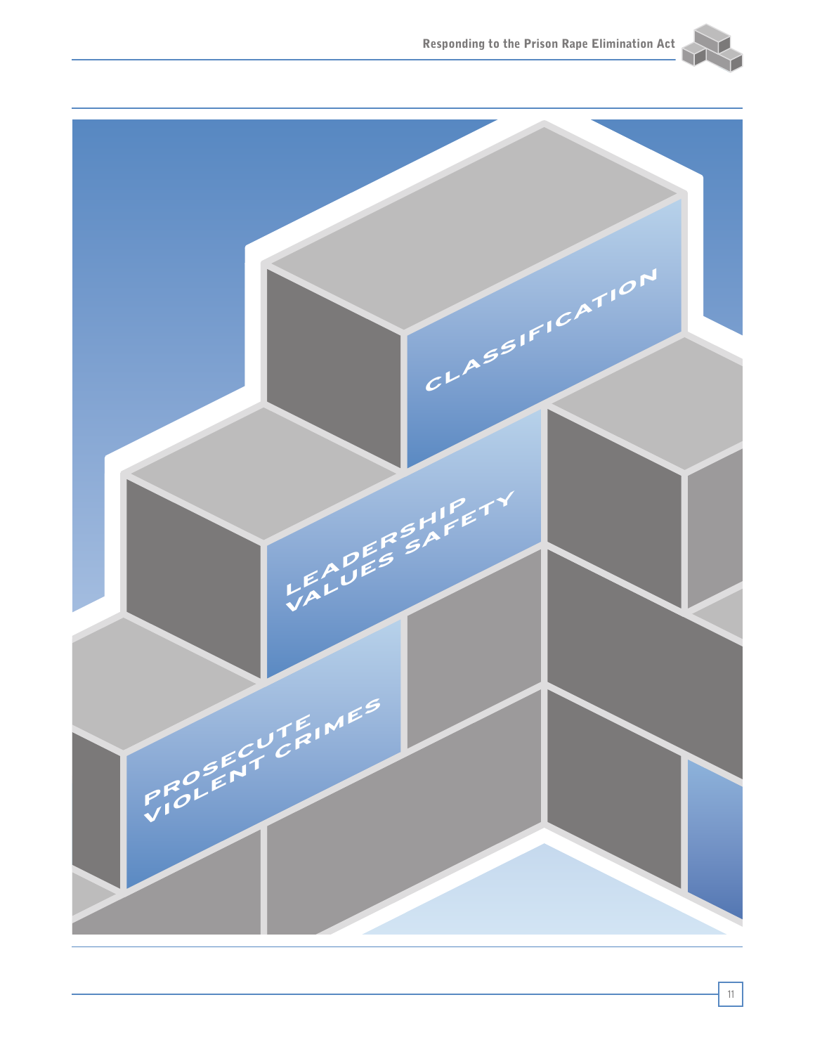